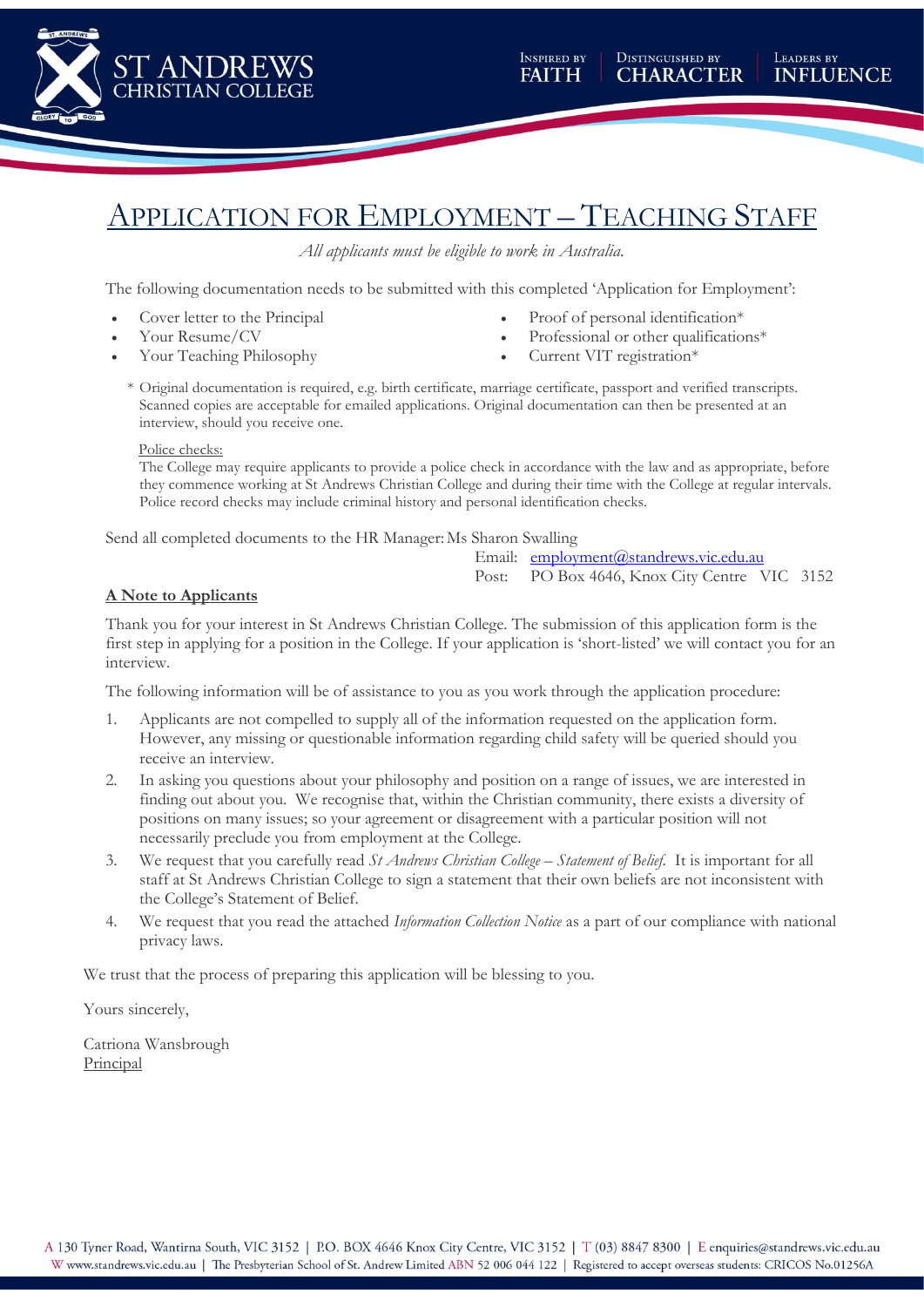

# APPLICATION FOR EMPLOYMENT – TEACHING STAFF

*All applicants must be eligible to work in Australia.*

The following documentation needs to be submitted with this completed 'Application for Employment':

- Cover letter to the Principal
- Your Resume/CV
- Your Teaching Philosophy
- Proof of personal identification\*
- Professional or other qualifications\*
- Current VIT registration\*
- \* Original documentation is required, e.g. birth certificate, marriage certificate, passport and verified transcripts. Scanned copies are acceptable for emailed applications. Original documentation can then be presented at an interview, should you receive one.

#### Police checks:

The College may require applicants to provide a police check in accordance with the law and as appropriate, before they commence working at St Andrews Christian College and during their time with the College at regular intervals. Police record checks may include criminal history and personal identification checks.

Send all completed documents to the HR Manager: Ms Sharon Swalling

Email: [employment@standrews.vic.edu.au](mailto:employment@standrews.vic.edu.au)

Post: PO Box 4646, Knox City Centre VIC 3152

#### **A Note to Applicants**

Thank you for your interest in St Andrews Christian College. The submission of this application form is the first step in applying for a position in the College. If your application is 'short-listed' we will contact you for an interview.

The following information will be of assistance to you as you work through the application procedure:

- 1. Applicants are not compelled to supply all of the information requested on the application form. However, any missing or questionable information regarding child safety will be queried should you receive an interview.
- 2. In asking you questions about your philosophy and position on a range of issues, we are interested in finding out about you. We recognise that, within the Christian community, there exists a diversity of positions on many issues; so your agreement or disagreement with a particular position will not necessarily preclude you from employment at the College.
- 3. We request that you carefully read *St Andrews Christian College – Statement of Belief*. It is important for all staff at St Andrews Christian College to sign a statement that their own beliefs are not inconsistent with the College's Statement of Belief.
- 4. We request that you read the attached *Information Collection Notice* as a part of our compliance with national privacy laws.

We trust that the process of preparing this application will be blessing to you.

Yours sincerely,

Catriona Wansbrough Principal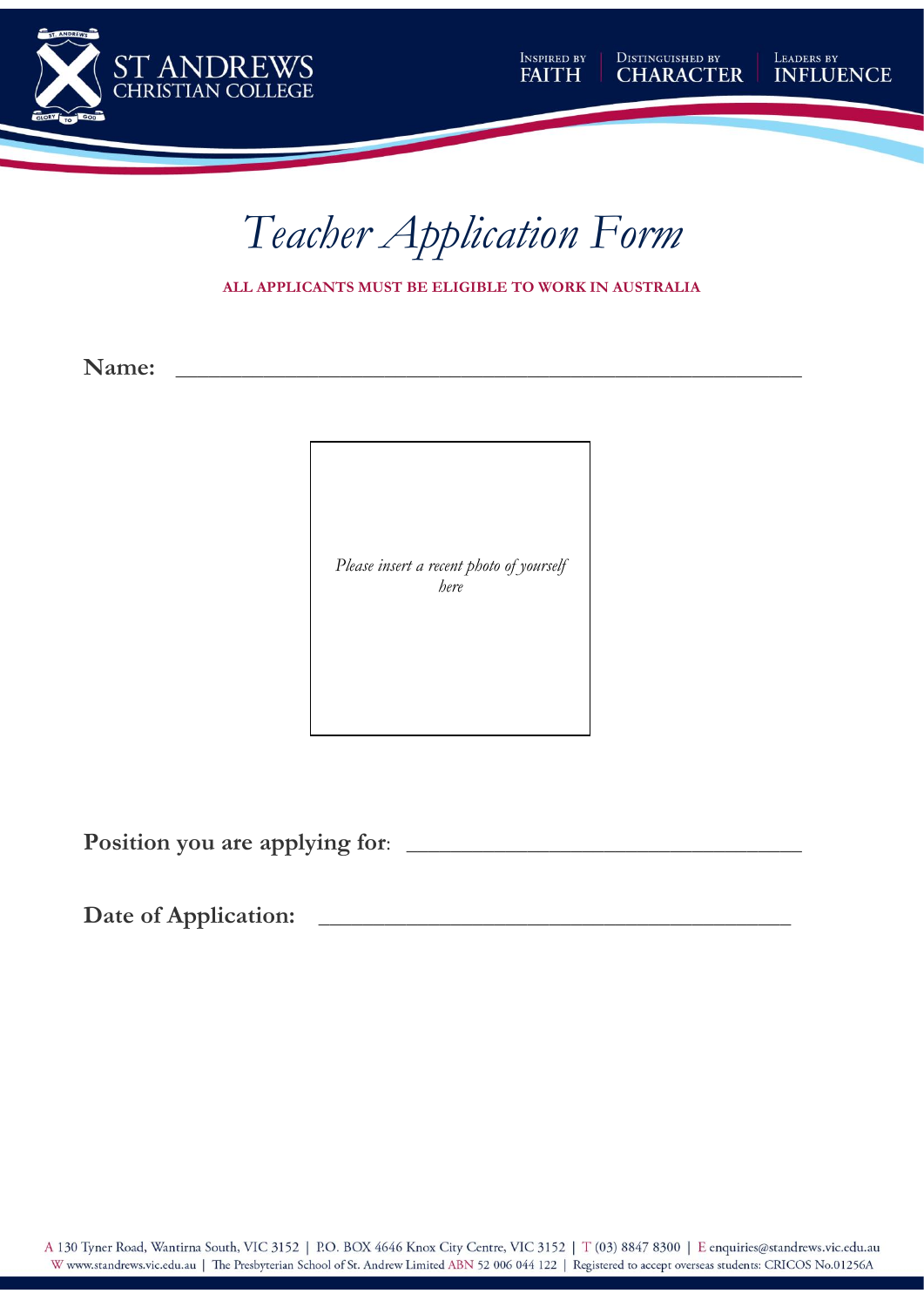





**ALL APPLICANTS MUST BE ELIGIBLE TO WORK IN AUSTRALIA**

**Name: \_\_\_\_\_\_\_\_\_\_\_\_\_\_\_\_\_\_\_\_\_\_\_\_\_\_\_\_\_\_\_\_\_\_\_\_\_\_\_\_\_\_\_\_\_\_\_\_\_\_\_\_\_\_\_\_\_**

*Please insert a recent photo of yourself here*

**Position you are applying for**: \_\_\_\_\_\_\_\_\_\_\_\_\_\_\_\_\_\_\_\_\_\_\_\_\_\_\_\_\_\_\_\_\_\_\_\_

**Date of Application:** \_\_\_\_\_\_\_\_\_\_\_\_\_\_\_\_\_\_\_\_\_\_\_\_\_\_\_\_\_\_\_\_\_\_\_\_\_\_\_\_\_\_\_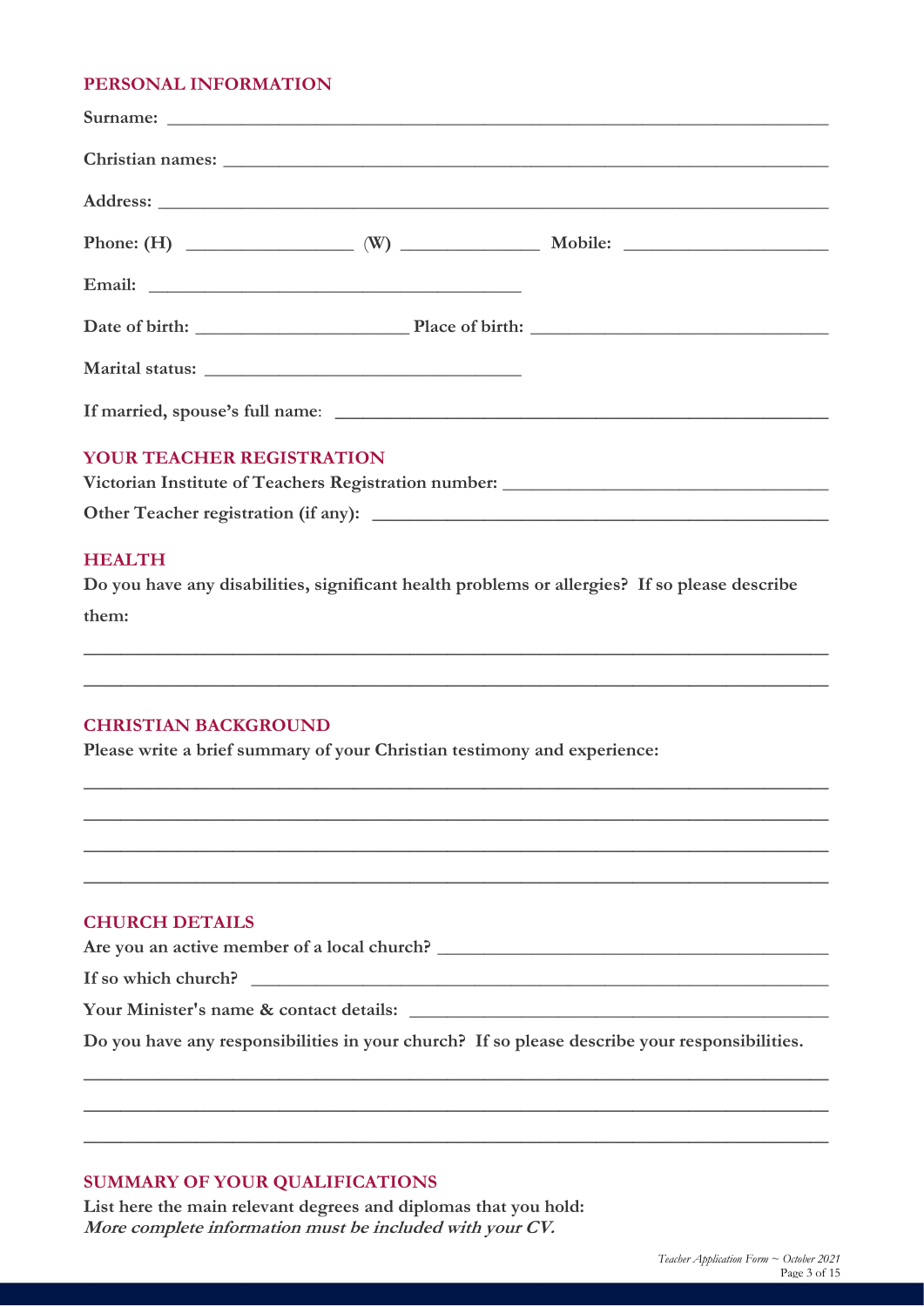#### **PERSONAL INFORMATION**

| <b>YOUR TEACHER REGISTRATION</b>                                                  |  |  |  |  |  |  |
|-----------------------------------------------------------------------------------|--|--|--|--|--|--|
| Victorian Institute of Teachers Registration number: ____________________________ |  |  |  |  |  |  |
|                                                                                   |  |  |  |  |  |  |

#### **HEALTH**

**Do you have any disabilities, significant health problems or allergies? If so please describe them:**

\_\_\_\_\_\_\_\_\_\_\_\_\_\_\_\_\_\_\_\_\_\_\_\_\_\_\_\_\_\_\_\_\_\_\_\_\_\_\_\_\_\_\_\_\_\_\_\_\_\_\_\_\_\_\_\_\_\_\_\_\_\_\_\_\_\_\_\_\_\_\_\_\_\_\_\_\_\_\_\_

 $\_$  , and the set of the set of the set of the set of the set of the set of the set of the set of the set of the set of the set of the set of the set of the set of the set of the set of the set of the set of the set of th

 $\_$  , and the set of the set of the set of the set of the set of the set of the set of the set of the set of the set of the set of the set of the set of the set of the set of the set of the set of the set of the set of th

 $\_$  , and the set of the set of the set of the set of the set of the set of the set of the set of the set of the set of the set of the set of the set of the set of the set of the set of the set of the set of the set of th

 $\_$  , and the set of the set of the set of the set of the set of the set of the set of the set of the set of the set of the set of the set of the set of the set of the set of the set of the set of the set of the set of th

 $\_$  , and the set of the set of the set of the set of the set of the set of the set of the set of the set of the set of the set of the set of the set of the set of the set of the set of the set of the set of the set of th

#### **CHRISTIAN BACKGROUND**

**Please write a brief summary of your Christian testimony and experience:** 

#### **CHURCH DETAILS**

Are you an active member of a local church?

**If so which church? \_\_\_\_\_\_\_\_\_\_\_\_\_\_\_\_\_\_\_\_\_\_\_\_\_\_\_\_\_\_\_\_\_\_\_\_\_\_\_\_\_\_\_\_\_\_\_\_\_\_\_\_\_\_\_\_\_\_\_\_\_\_**

**Your Minister's name & contact details: \_\_\_\_\_\_\_\_\_\_\_\_\_\_\_\_\_\_\_\_\_\_\_\_\_\_\_\_\_\_\_\_\_\_\_\_\_\_\_\_\_\_\_\_\_**

**Do you have any responsibilities in your church? If so please describe your responsibilities.**

 $\_$  , and the set of the set of the set of the set of the set of the set of the set of the set of the set of the set of the set of the set of the set of the set of the set of the set of the set of the set of the set of th

 $\_$  , and the set of the set of the set of the set of the set of the set of the set of the set of the set of the set of the set of the set of the set of the set of the set of the set of the set of the set of the set of th

**\_\_\_\_\_\_\_\_\_\_\_\_\_\_\_\_\_\_\_\_\_\_\_\_\_\_\_\_\_\_\_\_\_\_\_\_\_\_\_\_\_\_\_\_\_\_\_\_\_\_\_\_\_\_\_\_\_\_\_\_\_\_\_\_\_\_\_\_\_\_\_\_\_\_\_\_\_\_\_\_**

### **SUMMARY OF YOUR QUALIFICATIONS**

**List here the main relevant degrees and diplomas that you hold: More complete information must be included with your CV.**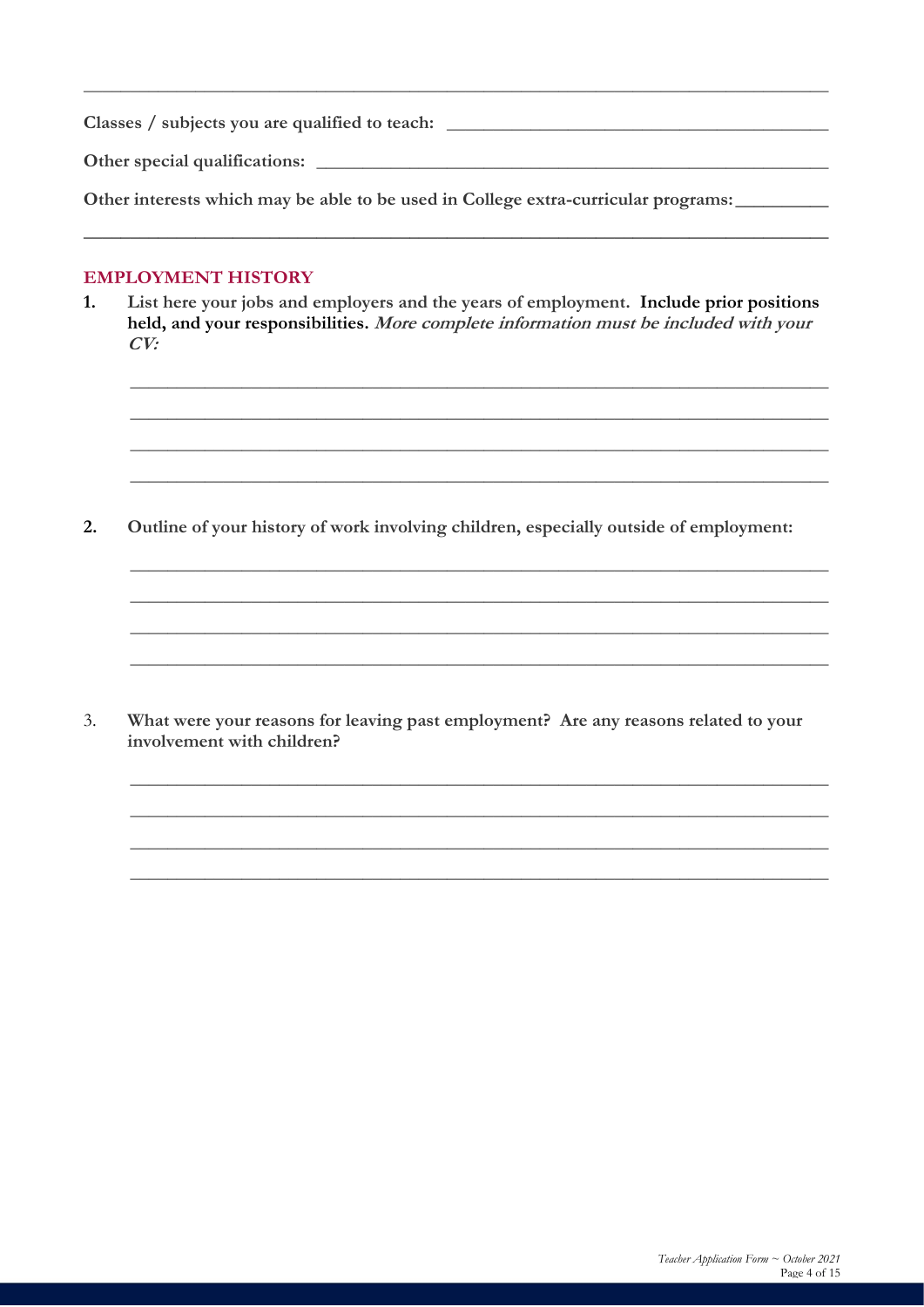Classes / subjects you are qualified to teach: \_\_\_\_\_\_\_\_\_\_\_\_\_\_\_\_\_\_\_\_\_\_\_\_\_\_\_\_\_\_\_\_\_ Other special qualifications:

Other interests which may be able to be used in College extra-curricular programs:

#### **EMPLOYMENT HISTORY**

 $1.$ List here your jobs and employers and the years of employment. Include prior positions held, and your responsibilities. More complete information must be included with your  $CV:$ 

 $2.$ Outline of your history of work involving children, especially outside of employment:

 $3.$ What were your reasons for leaving past employment? Are any reasons related to your involvement with children?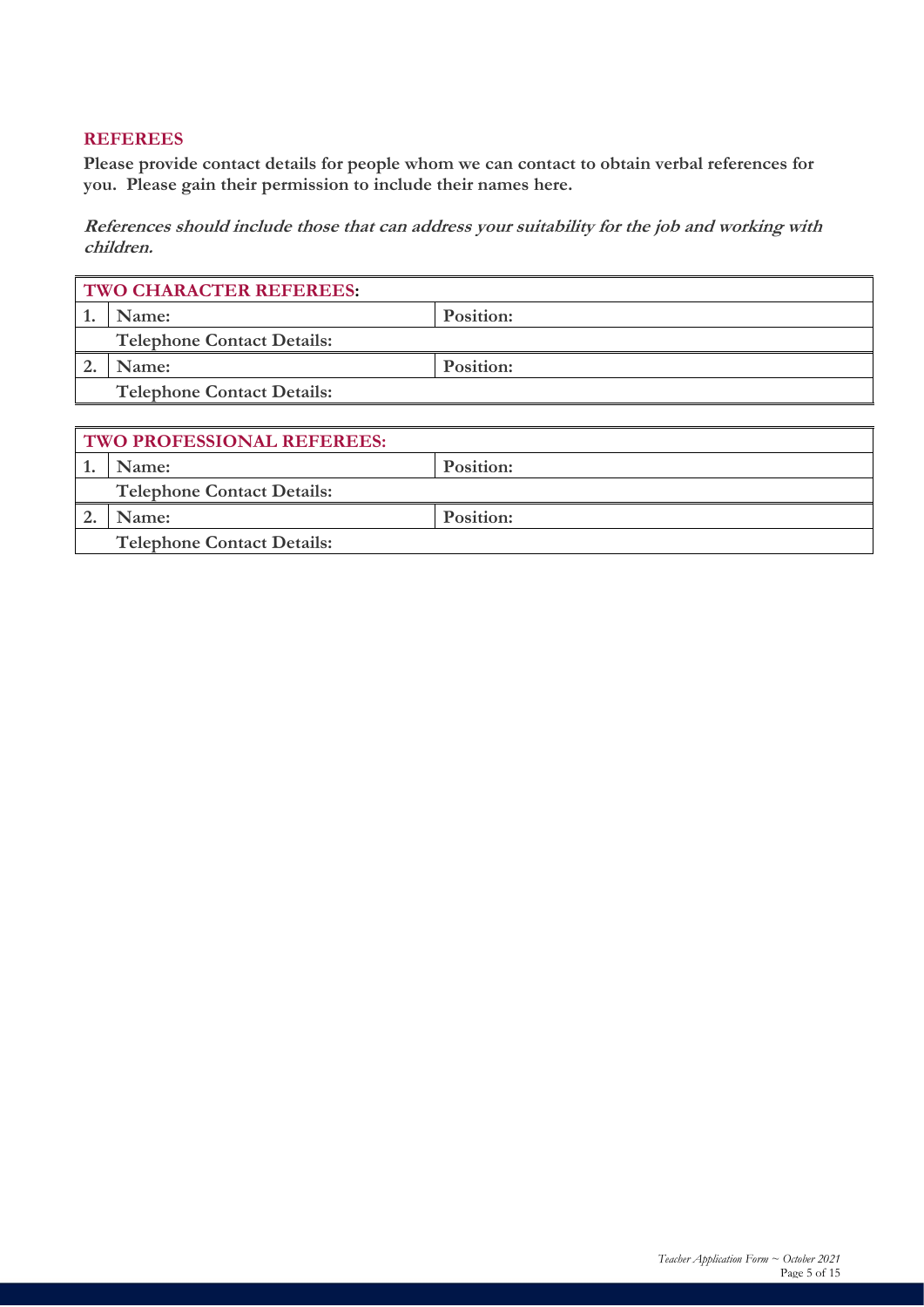#### **REFEREES**

**Please provide contact details for people whom we can contact to obtain verbal references for you. Please gain their permission to include their names here.**

**References should include those that can address your suitability for the job and working with children.**

| <b>TWO CHARACTER REFEREES:</b> |                                   |           |  |  |
|--------------------------------|-----------------------------------|-----------|--|--|
|                                | Name:                             | Position: |  |  |
|                                | <b>Telephone Contact Details:</b> |           |  |  |
|                                | Name:                             | Position: |  |  |
|                                | <b>Telephone Contact Details:</b> |           |  |  |

| <b>TWO PROFESSIONAL REFEREES:</b> |                                   |           |  |  |
|-----------------------------------|-----------------------------------|-----------|--|--|
|                                   | Name:                             | Position: |  |  |
|                                   | <b>Telephone Contact Details:</b> |           |  |  |
|                                   | <b>Name:</b>                      | Position: |  |  |
|                                   | <b>Telephone Contact Details:</b> |           |  |  |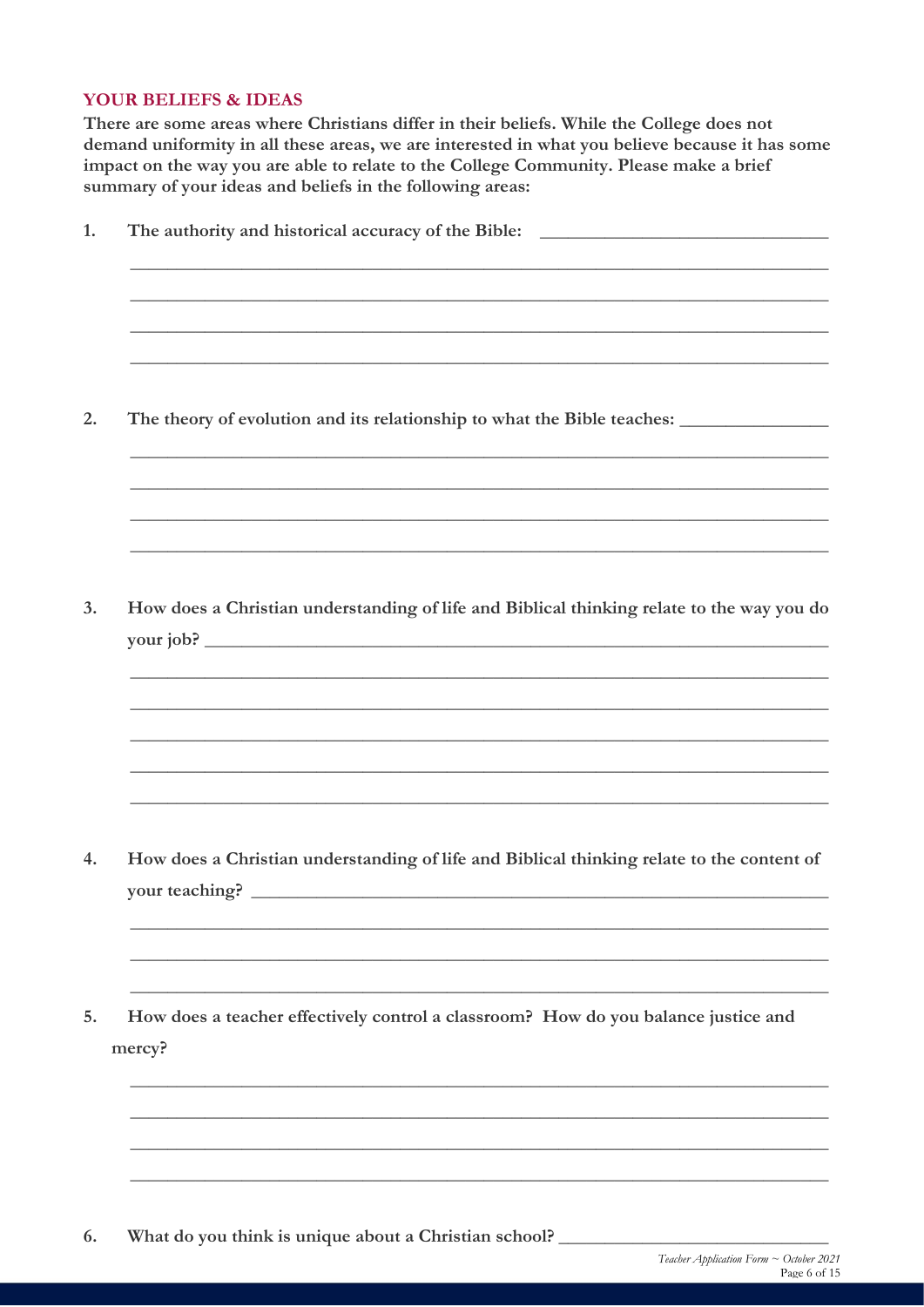#### **YOUR BELIEFS & IDEAS**

There are some areas where Christians differ in their beliefs. While the College does not demand uniformity in all these areas, we are interested in what you believe because it has some impact on the way you are able to relate to the College Community. Please make a brief summary of your ideas and beliefs in the following areas:

| The authority and historical accuracy of the Bible: _____________________________                           |
|-------------------------------------------------------------------------------------------------------------|
|                                                                                                             |
|                                                                                                             |
|                                                                                                             |
| How does a Christian understanding of life and Biblical thinking relate to the way you do                   |
|                                                                                                             |
| How does a Christian understanding of life and Biblical thinking relate to the content of<br>your teaching? |
|                                                                                                             |
| How does a teacher effectively control a classroom? How do you balance justice and<br>mercy?                |
|                                                                                                             |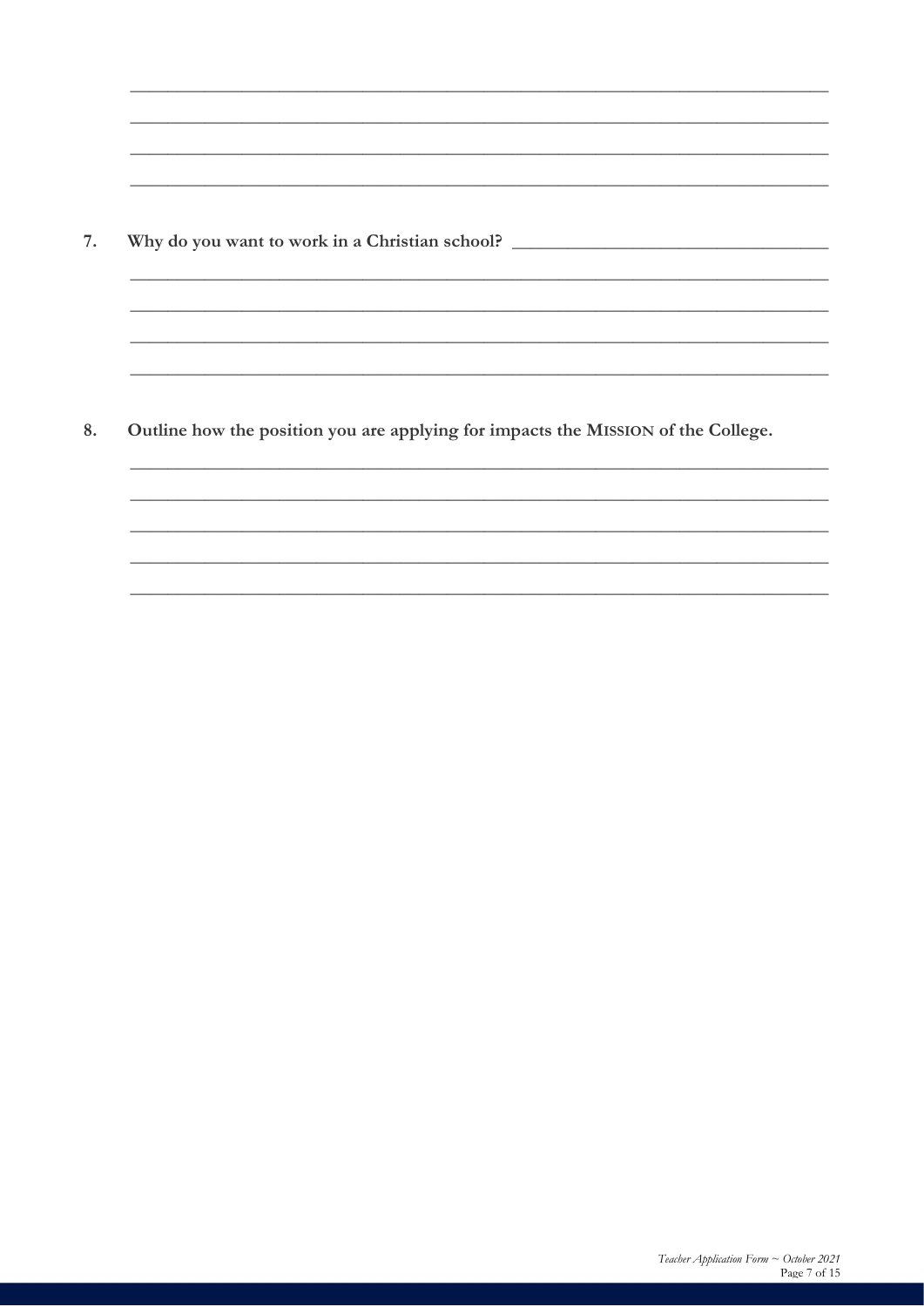Why do you want to work in a Christian school? \_\_\_\_\_\_\_\_\_\_\_\_\_\_\_\_\_\_\_\_\_\_\_\_\_\_\_\_\_\_\_\_\_\_ 7.

Outline how the position you are applying for impacts the MISSION of the College. 8.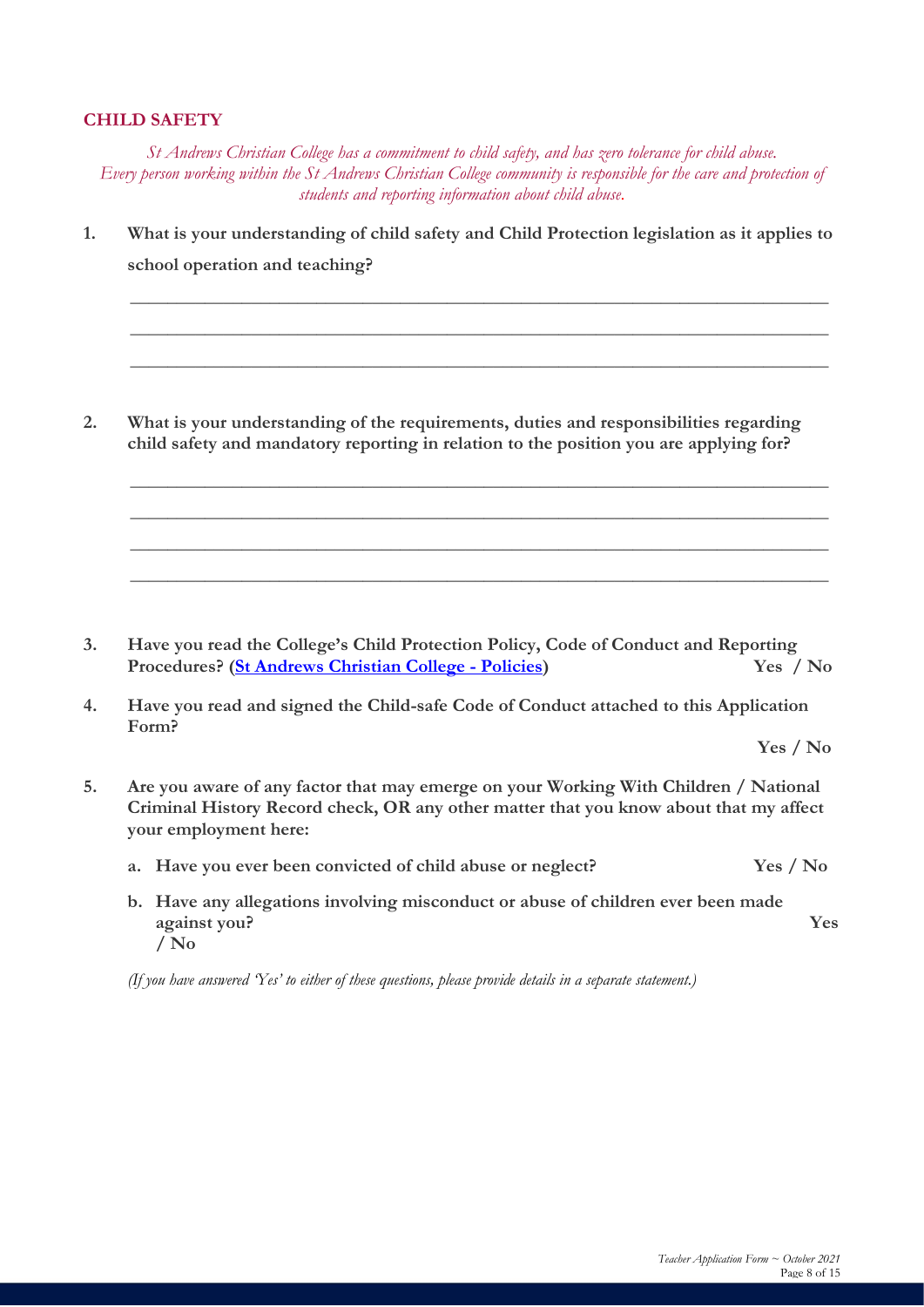#### **CHILD SAFETY**

*St Andrews Christian College has a commitment to child safety, and has zero tolerance for child abuse. Every person working within the St Andrews Christian College community is responsible for the care and protection of students and reporting information about child abuse.*

**1. What is your understanding of child safety and Child Protection legislation as it applies to school operation and teaching?**

**\_\_\_\_\_\_\_\_\_\_\_\_\_\_\_\_\_\_\_\_\_\_\_\_\_\_\_\_\_\_\_\_\_\_\_\_\_\_\_\_\_\_\_\_\_\_\_\_\_\_\_\_\_\_\_\_\_\_\_\_\_\_\_\_\_\_\_\_\_\_\_\_\_\_\_**

**\_\_\_\_\_\_\_\_\_\_\_\_\_\_\_\_\_\_\_\_\_\_\_\_\_\_\_\_\_\_\_\_\_\_\_\_\_\_\_\_\_\_\_\_\_\_\_\_\_\_\_\_\_\_\_\_\_\_\_\_\_\_\_\_\_\_\_\_\_\_\_\_\_\_\_**

**\_\_\_\_\_\_\_\_\_\_\_\_\_\_\_\_\_\_\_\_\_\_\_\_\_\_\_\_\_\_\_\_\_\_\_\_\_\_\_\_\_\_\_\_\_\_\_\_\_\_\_\_\_\_\_\_\_\_\_\_\_\_\_\_\_\_\_\_\_\_\_\_\_\_\_**

**\_\_\_\_\_\_\_\_\_\_\_\_\_\_\_\_\_\_\_\_\_\_\_\_\_\_\_\_\_\_\_\_\_\_\_\_\_\_\_\_\_\_\_\_\_\_\_\_\_\_\_\_\_\_\_\_\_\_\_\_\_\_\_\_\_\_\_\_\_\_\_\_\_\_\_**

**\_\_\_\_\_\_\_\_\_\_\_\_\_\_\_\_\_\_\_\_\_\_\_\_\_\_\_\_\_\_\_\_\_\_\_\_\_\_\_\_\_\_\_\_\_\_\_\_\_\_\_\_\_\_\_\_\_\_\_\_\_\_\_\_\_\_\_\_\_\_\_\_\_\_\_**

**\_\_\_\_\_\_\_\_\_\_\_\_\_\_\_\_\_\_\_\_\_\_\_\_\_\_\_\_\_\_\_\_\_\_\_\_\_\_\_\_\_\_\_\_\_\_\_\_\_\_\_\_\_\_\_\_\_\_\_\_\_\_\_\_\_\_\_\_\_\_\_\_\_\_\_**

**\_\_\_\_\_\_\_\_\_\_\_\_\_\_\_\_\_\_\_\_\_\_\_\_\_\_\_\_\_\_\_\_\_\_\_\_\_\_\_\_\_\_\_\_\_\_\_\_\_\_\_\_\_\_\_\_\_\_\_\_\_\_\_\_\_\_\_\_\_\_\_\_\_\_\_**

**2. What is your understanding of the requirements, duties and responsibilities regarding child safety and mandatory reporting in relation to the position you are applying for?**

- **3. Have you read the College's Child Protection Policy, Code of Conduct and Reporting Procedures? [\(St Andrews Christian College -](https://standrews.vic.edu.au/wp-content/uploads/2015/06/Child-Protection-Policy-Code-of-Conduct-Procedures-v-6-11-11-20.pdf) Policies) Yes / No**
- **4. Have you read and signed the Child-safe Code of Conduct attached to this Application Form?**

**Yes / No**

- **5. Are you aware of any factor that may emerge on your Working With Children / National Criminal History Record check, OR any other matter that you know about that my affect your employment here:**
	- **a. Have you ever been convicted of child abuse or neglect? Yes / No**
	- **b. Have any allegations involving misconduct or abuse of children ever been made against you? Yes / No**

*(If you have answered 'Yes' to either of these questions, please provide details in a separate statement.)*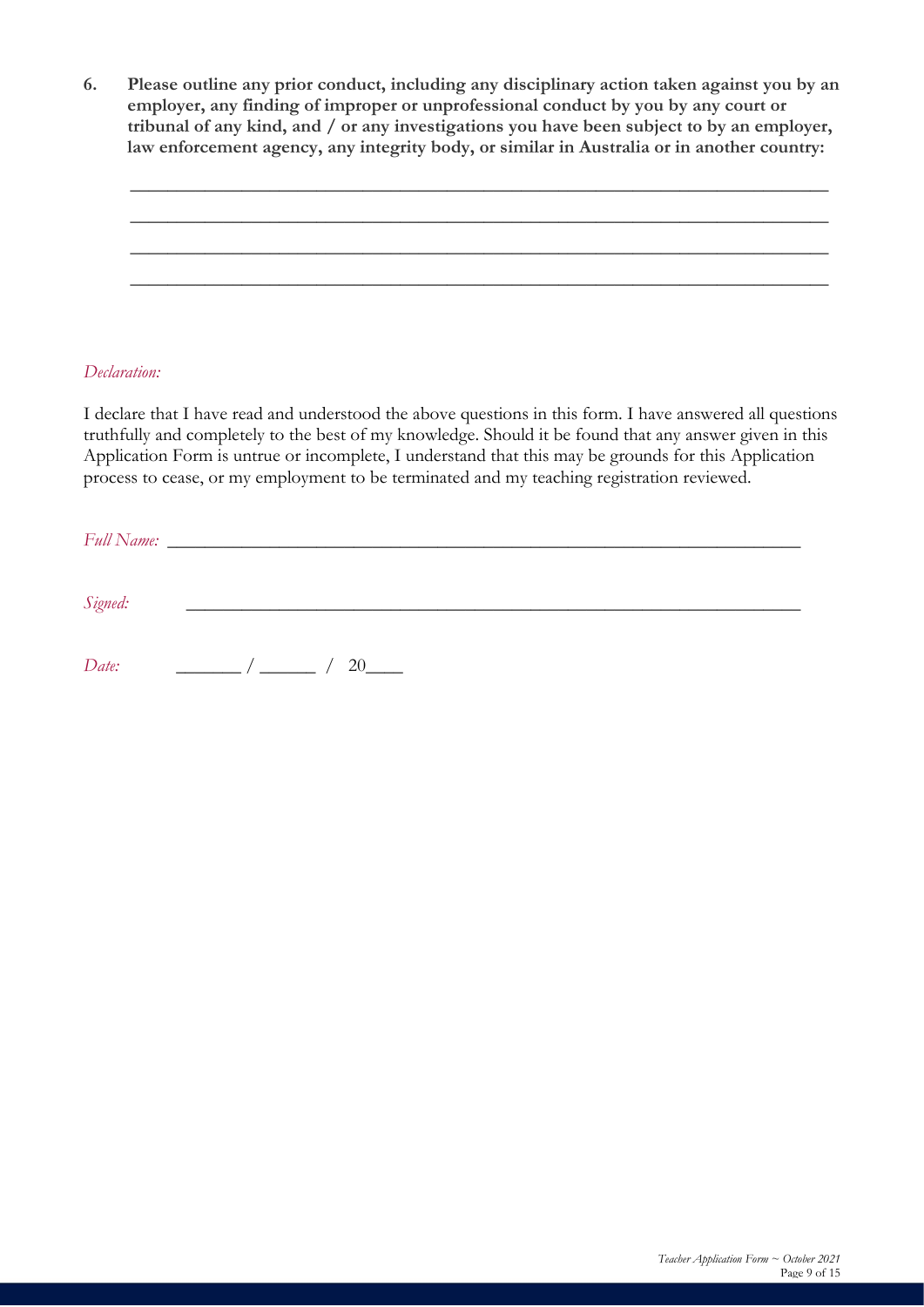**6. Please outline any prior conduct, including any disciplinary action taken against you by an employer, any finding of improper or unprofessional conduct by you by any court or tribunal of any kind, and / or any investigations you have been subject to by an employer, law enforcement agency, any integrity body, or similar in Australia or in another country:**

**\_\_\_\_\_\_\_\_\_\_\_\_\_\_\_\_\_\_\_\_\_\_\_\_\_\_\_\_\_\_\_\_\_\_\_\_\_\_\_\_\_\_\_\_\_\_\_\_\_\_\_\_\_\_\_\_\_\_\_\_\_\_\_\_\_\_\_\_\_\_\_\_\_\_\_**

**\_\_\_\_\_\_\_\_\_\_\_\_\_\_\_\_\_\_\_\_\_\_\_\_\_\_\_\_\_\_\_\_\_\_\_\_\_\_\_\_\_\_\_\_\_\_\_\_\_\_\_\_\_\_\_\_\_\_\_\_\_\_\_\_\_\_\_\_\_\_\_\_\_\_\_**

**\_\_\_\_\_\_\_\_\_\_\_\_\_\_\_\_\_\_\_\_\_\_\_\_\_\_\_\_\_\_\_\_\_\_\_\_\_\_\_\_\_\_\_\_\_\_\_\_\_\_\_\_\_\_\_\_\_\_\_\_\_\_\_\_\_\_\_\_\_\_\_\_\_\_\_**

**\_\_\_\_\_\_\_\_\_\_\_\_\_\_\_\_\_\_\_\_\_\_\_\_\_\_\_\_\_\_\_\_\_\_\_\_\_\_\_\_\_\_\_\_\_\_\_\_\_\_\_\_\_\_\_\_\_\_\_\_\_\_\_\_\_\_\_\_\_\_\_\_\_\_\_**

#### *Declaration:*

I declare that I have read and understood the above questions in this form. I have answered all questions truthfully and completely to the best of my knowledge. Should it be found that any answer given in this Application Form is untrue or incomplete, I understand that this may be grounds for this Application process to cease, or my employment to be terminated and my teaching registration reviewed.

| Signed: |                              |  |
|---------|------------------------------|--|
| Date:   | $\frac{1}{2}$ $\frac{1}{20}$ |  |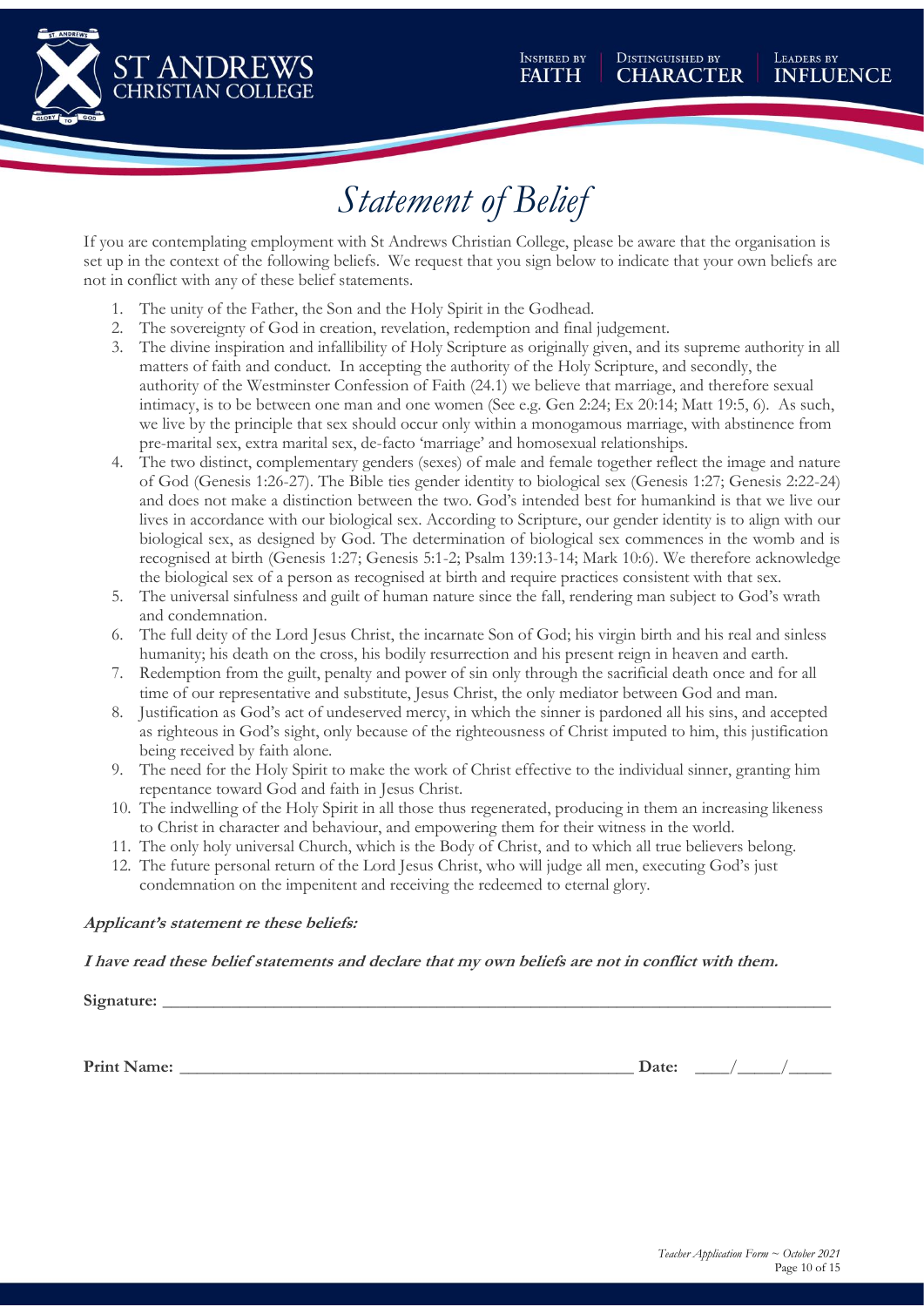

# *Statement of Belief*

If you are contemplating employment with St Andrews Christian College, please be aware that the organisation is set up in the context of the following beliefs. We request that you sign below to indicate that your own beliefs are not in conflict with any of these belief statements.

- 1. The unity of the Father, the Son and the Holy Spirit in the Godhead.
- 2. The sovereignty of God in creation, revelation, redemption and final judgement.
- 3. The divine inspiration and infallibility of Holy Scripture as originally given, and its supreme authority in all matters of faith and conduct. In accepting the authority of the Holy Scripture, and secondly, the authority of the Westminster Confession of Faith (24.1) we believe that marriage, and therefore sexual intimacy, is to be between one man and one women (See e.g. Gen 2:24; Ex 20:14; Matt 19:5, 6). As such, we live by the principle that sex should occur only within a monogamous marriage, with abstinence from pre-marital sex, extra marital sex, de-facto 'marriage' and homosexual relationships.
- 4. The two distinct, complementary genders (sexes) of male and female together reflect the image and nature of God (Genesis 1:26-27). The Bible ties gender identity to biological sex (Genesis 1:27; Genesis 2:22-24) and does not make a distinction between the two. God's intended best for humankind is that we live our lives in accordance with our biological sex. According to Scripture, our gender identity is to align with our biological sex, as designed by God. The determination of biological sex commences in the womb and is recognised at birth (Genesis 1:27; Genesis 5:1-2; Psalm 139:13-14; Mark 10:6). We therefore acknowledge the biological sex of a person as recognised at birth and require practices consistent with that sex.
- 5. The universal sinfulness and guilt of human nature since the fall, rendering man subject to God's wrath and condemnation.
- 6. The full deity of the Lord Jesus Christ, the incarnate Son of God; his virgin birth and his real and sinless humanity; his death on the cross, his bodily resurrection and his present reign in heaven and earth.
- 7. Redemption from the guilt, penalty and power of sin only through the sacrificial death once and for all time of our representative and substitute, Jesus Christ, the only mediator between God and man.
- 8. Justification as God's act of undeserved mercy, in which the sinner is pardoned all his sins, and accepted as righteous in God's sight, only because of the righteousness of Christ imputed to him, this justification being received by faith alone.
- 9. The need for the Holy Spirit to make the work of Christ effective to the individual sinner, granting him repentance toward God and faith in Jesus Christ.
- 10. The indwelling of the Holy Spirit in all those thus regenerated, producing in them an increasing likeness to Christ in character and behaviour, and empowering them for their witness in the world.
- 11. The only holy universal Church, which is the Body of Christ, and to which all true believers belong.
- 12. The future personal return of the Lord Jesus Christ, who will judge all men, executing God's just condemnation on the impenitent and receiving the redeemed to eternal glory.

#### **Applicant's statement re these beliefs:**

#### **I have read these belief statements and declare that my own beliefs are not in conflict with them.**

Signature:

**Print Name:** \_\_\_\_\_\_\_\_\_\_\_\_\_\_\_\_\_\_\_\_\_\_\_\_\_\_\_\_\_\_\_\_\_\_\_\_\_\_\_\_\_\_\_\_\_\_\_\_\_\_\_\_\_ **Date:** \_\_\_\_/\_\_\_\_\_/\_\_\_\_\_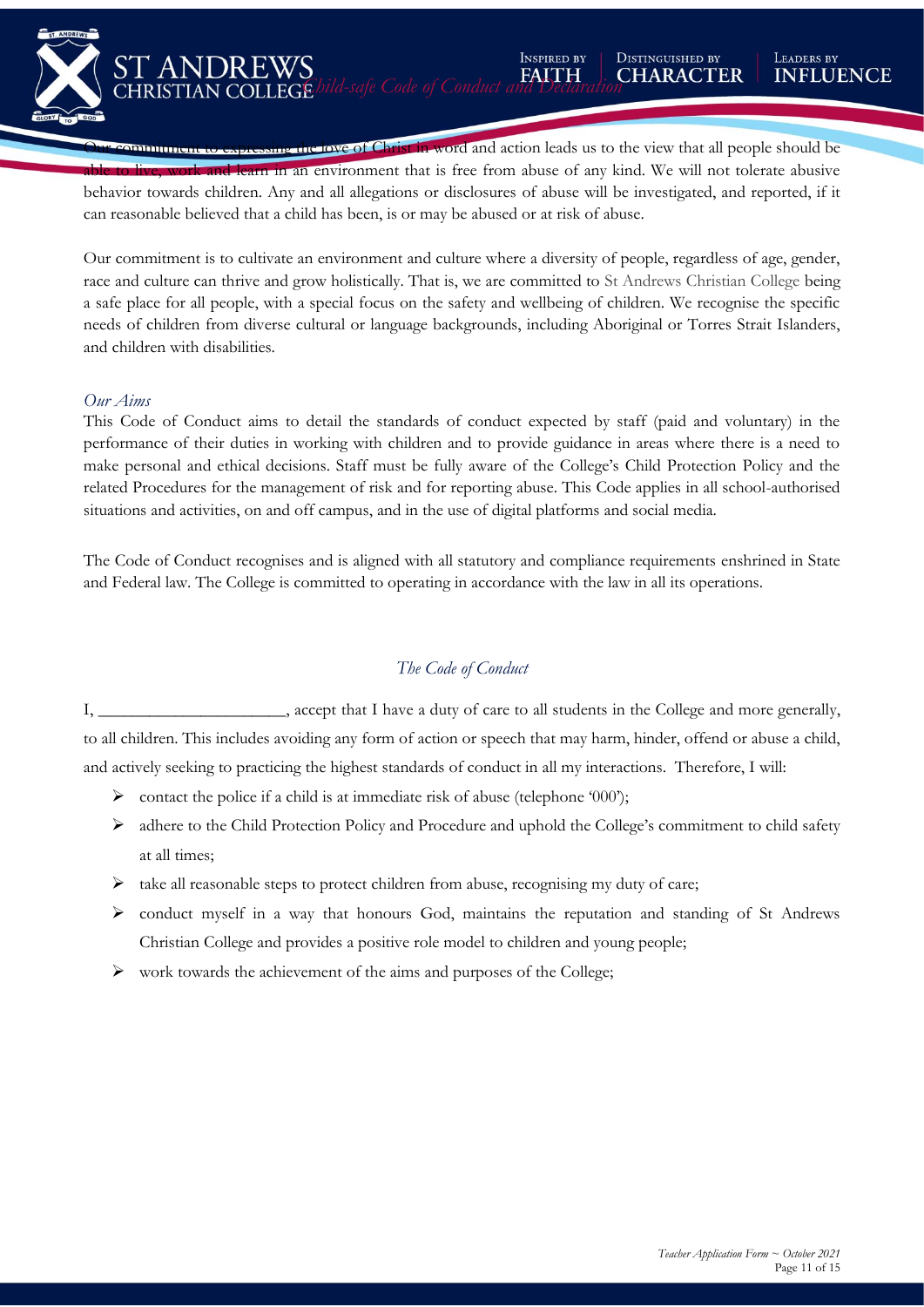**INSPIRED BY** 

**Communistion** expressing the love of Christ in word and action leads us to the view that all people should be **ible to live, work and learn in an environment that is free from abuse of any kind. We will not tolerate abusive** behavior towards children. Any and all allegations or disclosures of abuse will be investigated, and reported, if it can reasonable believed that a child has been, is or may be abused or at risk of abuse.

Our commitment is to cultivate an environment and culture where a diversity of people, regardless of age, gender, race and culture can thrive and grow holistically. That is, we are committed to St Andrews Christian College being a safe place for all people, with a special focus on the safety and wellbeing of children. We recognise the specific needs of children from diverse cultural or language backgrounds, including Aboriginal or Torres Strait Islanders, and children with disabilities.

#### *Our Aims*

*Our Commitment*

**ST ANI** 

DR EWS

This Code of Conduct aims to detail the standards of conduct expected by staff (paid and voluntary) in the performance of their duties in working with children and to provide guidance in areas where there is a need to make personal and ethical decisions. Staff must be fully aware of the College's Child Protection Policy and the related Procedures for the management of risk and for reporting abuse. This Code applies in all school-authorised situations and activities, on and off campus, and in the use of digital platforms and social media.

The Code of Conduct recognises and is aligned with all statutory and compliance requirements enshrined in State and Federal law. The College is committed to operating in accordance with the law in all its operations.

### *The Code of Conduct*

I, \_\_\_\_\_\_\_\_\_\_\_\_\_\_\_\_\_\_\_\_\_\_, accept that I have a duty of care to all students in the College and more generally, to all children. This includes avoiding any form of action or speech that may harm, hinder, offend or abuse a child, and actively seeking to practicing the highest standards of conduct in all my interactions. Therefore, I will:

- $\triangleright$  contact the police if a child is at immediate risk of abuse (telephone '000');
- ➢ adhere to the Child Protection Policy and Procedure and uphold the College's commitment to child safety at all times;
- $\triangleright$  take all reasonable steps to protect children from abuse, recognising my duty of care;
- ➢ conduct myself in a way that honours God, maintains the reputation and standing of St Andrews Christian College and provides a positive role model to children and young people;
- ➢ work towards the achievement of the aims and purposes of the College;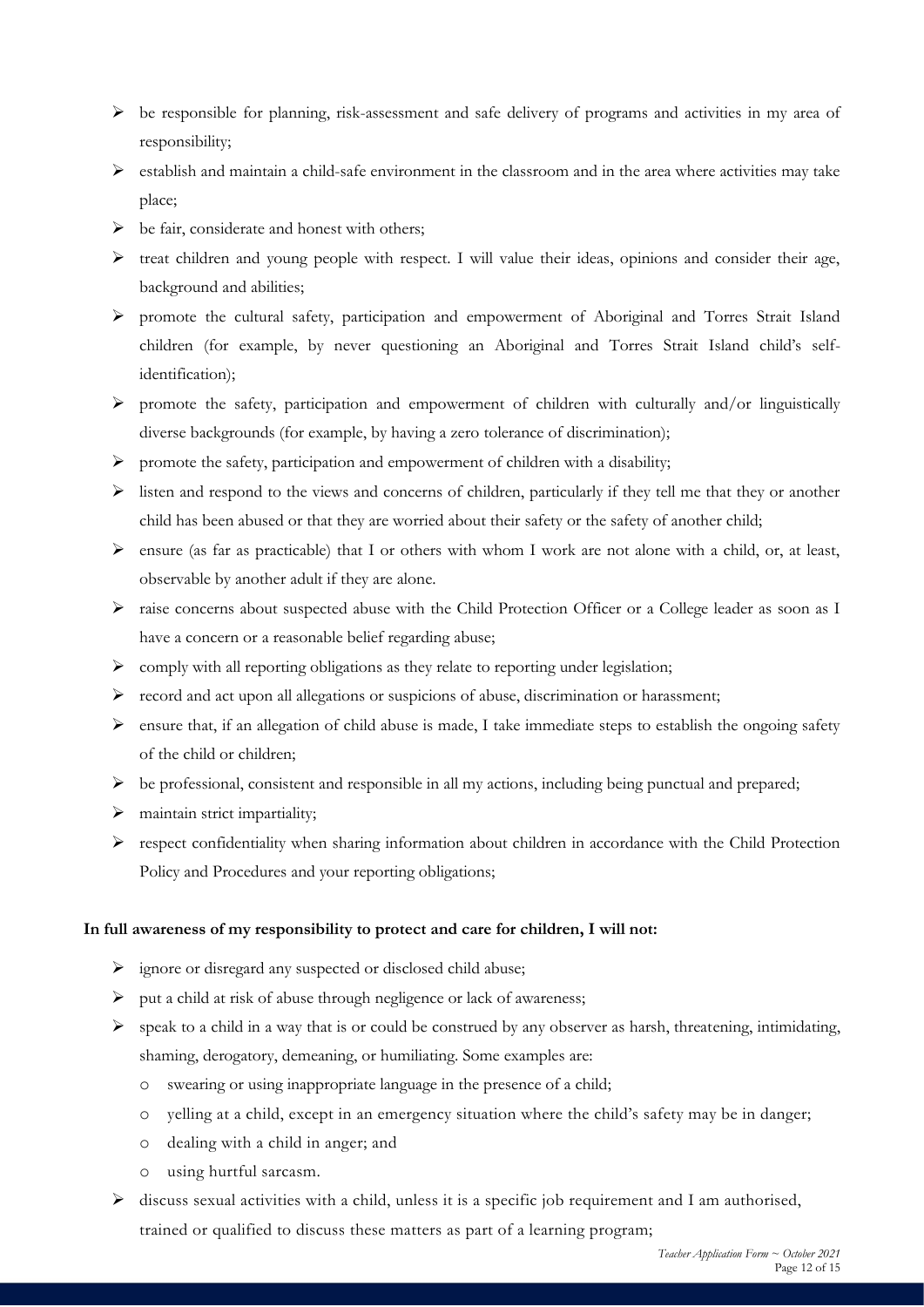- $\triangleright$  be responsible for planning, risk-assessment and safe delivery of programs and activities in my area of responsibility;
- $\triangleright$  establish and maintain a child-safe environment in the classroom and in the area where activities may take place;
- ➢ be fair, considerate and honest with others;
- ➢ treat children and young people with respect. I will value their ideas, opinions and consider their age, background and abilities;
- ➢ promote the cultural safety, participation and empowerment of Aboriginal and Torres Strait Island children (for example, by never questioning an Aboriginal and Torres Strait Island child's selfidentification);
- ➢ promote the safety, participation and empowerment of children with culturally and/or linguistically diverse backgrounds (for example, by having a zero tolerance of discrimination);
- ➢ promote the safety, participation and empowerment of children with a disability;
- ➢ listen and respond to the views and concerns of children, particularly if they tell me that they or another child has been abused or that they are worried about their safety or the safety of another child;
- $\triangleright$  ensure (as far as practicable) that I or others with whom I work are not alone with a child, or, at least, observable by another adult if they are alone.
- ➢ raise concerns about suspected abuse with the Child Protection Officer or a College leader as soon as I have a concern or a reasonable belief regarding abuse;
- $\triangleright$  comply with all reporting obligations as they relate to reporting under legislation;
- ➢ record and act upon all allegations or suspicions of abuse, discrimination or harassment;
- ➢ ensure that, if an allegation of child abuse is made, I take immediate steps to establish the ongoing safety of the child or children;
- $\triangleright$  be professional, consistent and responsible in all my actions, including being punctual and prepared;
- ➢ maintain strict impartiality;
- ➢ respect confidentiality when sharing information about children in accordance with the Child Protection Policy and Procedures and your reporting obligations;

#### **In full awareness of my responsibility to protect and care for children, I will not:**

- ➢ ignore or disregard any suspected or disclosed child abuse;
- ➢ put a child at risk of abuse through negligence or lack of awareness;
- ➢ speak to a child in a way that is or could be construed by any observer as harsh, threatening, intimidating, shaming, derogatory, demeaning, or humiliating. Some examples are:
	- o swearing or using inappropriate language in the presence of a child;
	- o yelling at a child, except in an emergency situation where the child's safety may be in danger;
	- o dealing with a child in anger; and
	- o using hurtful sarcasm.
- ➢ discuss sexual activities with a child, unless it is a specific job requirement and I am authorised, trained or qualified to discuss these matters as part of a learning program;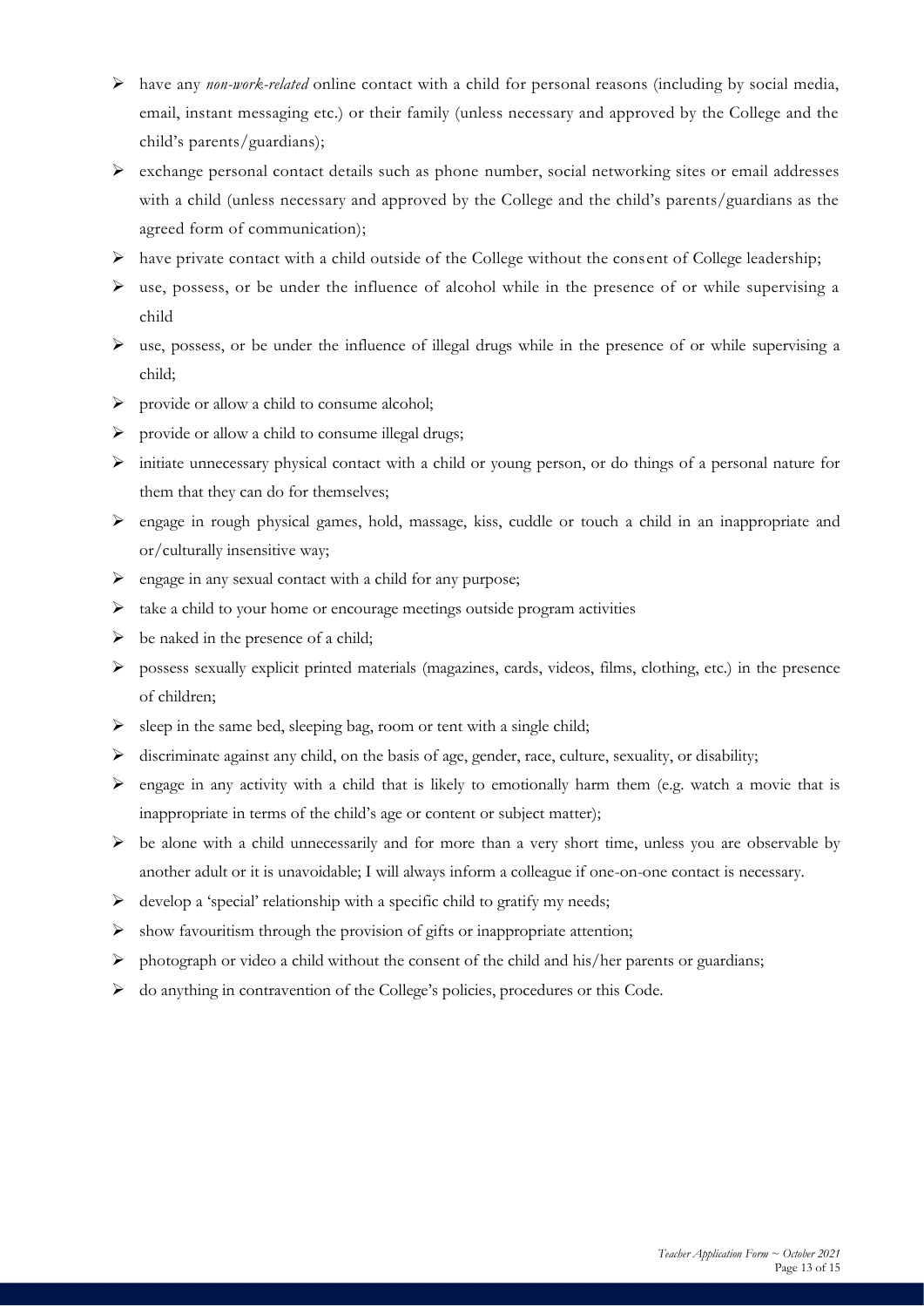- ➢ have any *non-work-related* online contact with a child for personal reasons (including by social media, email, instant messaging etc.) or their family (unless necessary and approved by the College and the child's parents/guardians);
- $\triangleright$  exchange personal contact details such as phone number, social networking sites or email addresses with a child (unless necessary and approved by the College and the child's parents/guardians as the agreed form of communication);
- $\triangleright$  have private contact with a child outside of the College without the consent of College leadership;
- ➢ use, possess, or be under the influence of alcohol while in the presence of or while supervising a child
- ➢ use, possess, or be under the influence of illegal drugs while in the presence of or while supervising a child;
- ➢ provide or allow a child to consume alcohol;
- ➢ provide or allow a child to consume illegal drugs;
- ➢ initiate unnecessary physical contact with a child or young person, or do things of a personal nature for them that they can do for themselves;
- ➢ engage in rough physical games, hold, massage, kiss, cuddle or touch a child in an inappropriate and or/culturally insensitive way;
- $\triangleright$  engage in any sexual contact with a child for any purpose;
- ➢ take a child to your home or encourage meetings outside program activities
- $\triangleright$  be naked in the presence of a child;
- ➢ possess sexually explicit printed materials (magazines, cards, videos, films, clothing, etc.) in the presence of children;
- $\triangleright$  sleep in the same bed, sleeping bag, room or tent with a single child;
- ➢ discriminate against any child, on the basis of age, gender, race, culture, sexuality, or disability;
- $\triangleright$  engage in any activity with a child that is likely to emotionally harm them (e.g. watch a movie that is inappropriate in terms of the child's age or content or subject matter);
- ➢ be alone with a child unnecessarily and for more than a very short time, unless you are observable by another adult or it is unavoidable; I will always inform a colleague if one-on-one contact is necessary.
- $\triangleright$  develop a 'special' relationship with a specific child to gratify my needs;
- $\triangleright$  show favouritism through the provision of gifts or inappropriate attention;
- ➢ photograph or video a child without the consent of the child and his/her parents or guardians;
- ➢ do anything in contravention of the College's policies, procedures or this Code.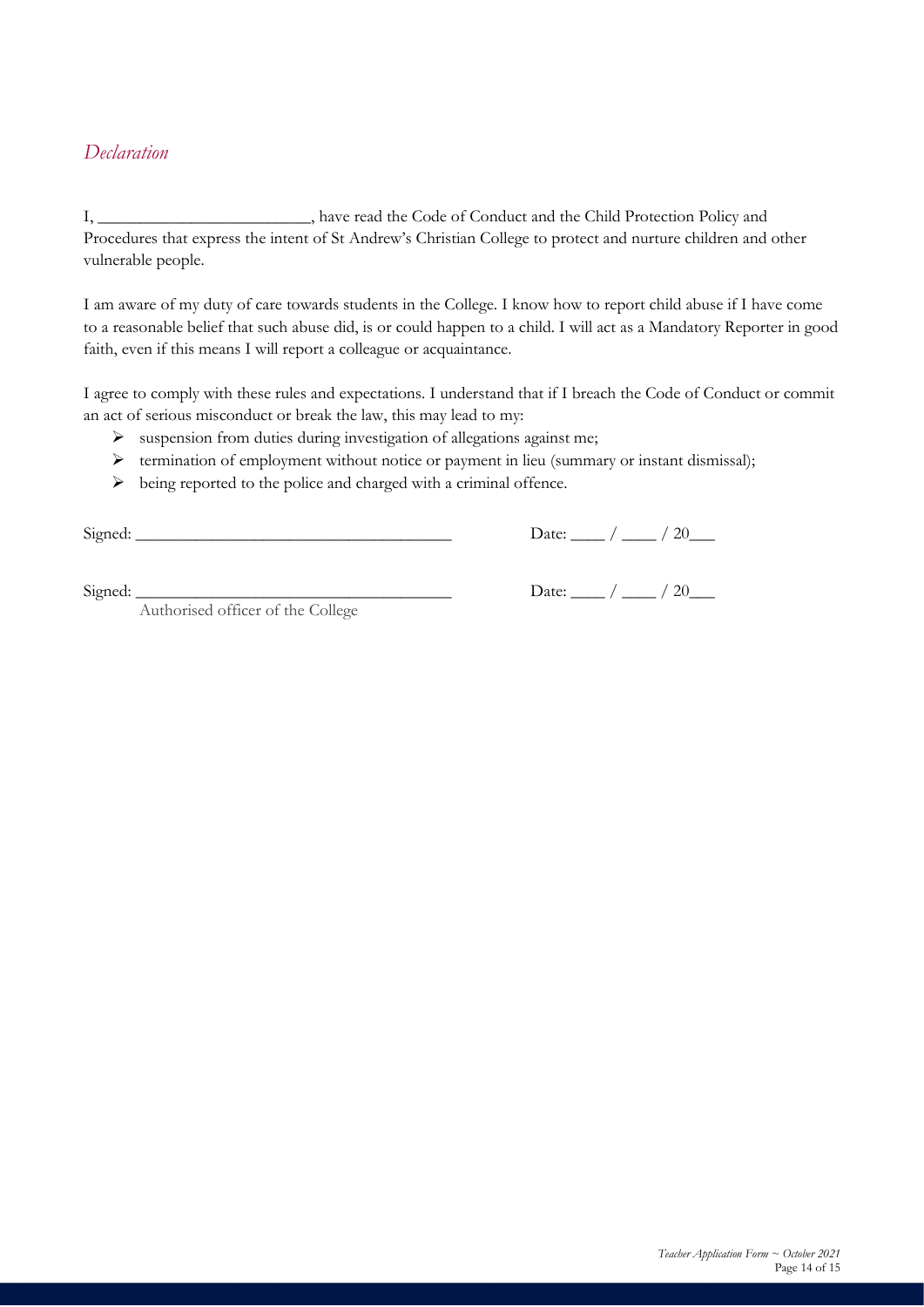# *Declaration*

I, have read the Code of Conduct and the Child Protection Policy and Procedures that express the intent of St Andrew's Christian College to protect and nurture children and other vulnerable people.

I am aware of my duty of care towards students in the College. I know how to report child abuse if I have come to a reasonable belief that such abuse did, is or could happen to a child. I will act as a Mandatory Reporter in good faith, even if this means I will report a colleague or acquaintance.

I agree to comply with these rules and expectations. I understand that if I breach the Code of Conduct or commit an act of serious misconduct or break the law, this may lead to my:

- ➢ suspension from duties during investigation of allegations against me;
- ➢ termination of employment without notice or payment in lieu (summary or instant dismissal);
- $\triangleright$  being reported to the police and charged with a criminal offence.

Signed: \_\_\_\_\_\_\_\_\_\_\_\_\_\_\_\_\_\_\_\_\_\_\_\_\_\_\_\_\_\_\_\_\_\_\_\_\_ Date: \_\_\_\_ / \_\_\_\_ / 20\_\_\_

Signed:  $\Box$  Date:  $\Box$  / 20

Authorised officer of the College